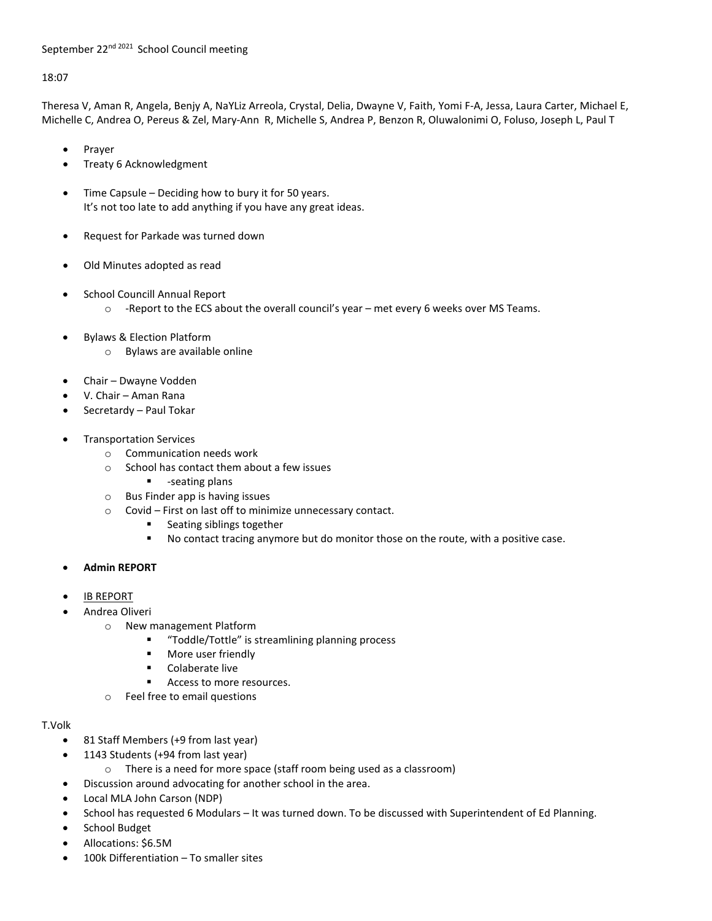## September 22<sup>nd 2021</sup> School Council meeting

## 18:07

Theresa V, Aman R, Angela, Benjy A, NaYLiz Arreola, Crystal, Delia, Dwayne V, Faith, Yomi F-A, Jessa, Laura Carter, Michael E, Michelle C, Andrea O, Pereus & Zel, Mary-Ann R, Michelle S, Andrea P, Benzon R, Oluwalonimi O, Foluso, Joseph L, Paul T

- Prayer
- Treaty 6 Acknowledgment
- Time Capsule Deciding how to bury it for 50 years. It's not too late to add anything if you have any great ideas.
- Request for Parkade was turned down
- Old Minutes adopted as read
- School Councill Annual Report
	- $\circ$  -Report to the ECS about the overall council's year met every 6 weeks over MS Teams.
- Bylaws & Election Platform
	- o Bylaws are available online
- Chair Dwayne Vodden
- V. Chair Aman Rana
- Secretardy Paul Tokar
- Transportation Services
	- o Communication needs work
	- o School has contact them about a few issues
		- $-$ seating plans
	- o Bus Finder app is having issues
	- o Covid First on last off to minimize unnecessary contact.
		- **Seating siblings together**
		- No contact tracing anymore but do monitor those on the route, with a positive case.
- **Admin REPORT**
- **IB REPORT**
- Andrea Oliveri
	- o New management Platform
		- "Toddle/Tottle" is streamlining planning process
		- **More user friendly**
		- **EXECOLA** Colaberate live
		- Access to more resources.
	- o Feel free to email questions

## T.Volk

- 81 Staff Members (+9 from last year)
- 1143 Students (+94 from last year)
	- o There is a need for more space (staff room being used as a classroom)
- Discussion around advocating for another school in the area.
- Local MLA John Carson (NDP)
- School has requested 6 Modulars It was turned down. To be discussed with Superintendent of Ed Planning.
- School Budget
- Allocations: \$6.5M
- 100k Differentiation To smaller sites